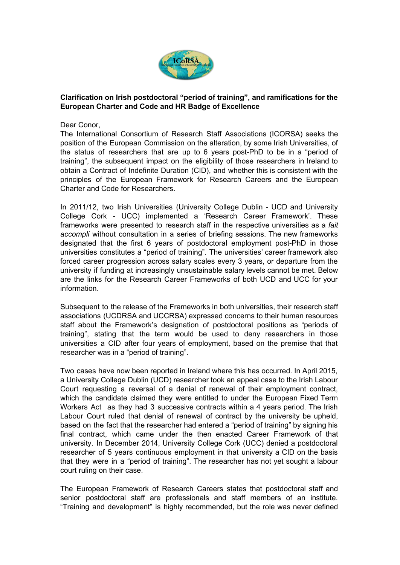

## **Clarification on Irish postdoctoral "period of training", and ramifications for the European Charter and Code and HR Badge of Excellence**

## Dear Conor,

The International Consortium of Research Staff Associations (ICORSA) seeks the position of the European Commission on the alteration, by some Irish Universities, of the status of researchers that are up to 6 years post-PhD to be in a "period of training", the subsequent impact on the eligibility of those researchers in Ireland to obtain a Contract of Indefinite Duration (CID), and whether this is consistent with the principles of the European Framework for Research Careers and the European Charter and Code for Researchers.

In 2011/12, two Irish Universities (University College Dublin - UCD and University College Cork UCC) implemented a 'Research Career Framework'. These frameworks were presented to research staff in the respective universities as a *fait accompli* without consultation in a series of briefing sessions. The new frameworks designated that the first 6 years of postdoctoral employment post-PhD in those universities constitutes a "period of training". The universities' career framework also forced career progression across salary scales every 3 years, or departure from the university if funding at increasingly unsustainable salary levels cannot be met. Below are the links for the Research Career Frameworks of both UCD and UCC for your information.

Subsequent to the release of the Frameworks in both universities, their research staff associations (UCDRSA and UCCRSA) expressed concerns to their human resources staff about the Framework's designation of postdoctoral positions as "periods of training", stating that the term would be used to deny researchers in those universities a CID after four years of employment, based on the premise that that researcher was in a "period of training".

Two cases have now been reported in Ireland where this has occurred. In April 2015, a University College Dublin (UCD) researcher took an appeal case to the Irish Labour Court requesting a reversal of a denial of renewal of their employment contract, which the candidate claimed they were entitled to under the European Fixed Term Workers Act as they had 3 successive contracts within a 4 years period. The Irish Labour Court ruled that denial of renewal of contract by the university be upheld, based on the fact that the researcher had entered a "period of training" by signing his final contract, which came under the then enacted Career Framework of that university. In December 2014, University College Cork (UCC) denied a postdoctoral researcher of 5 years continuous employment in that university a CID on the basis that they were in a "period of training". The researcher has not yet sought a labour court ruling on their case.

The European Framework of Research Careers states that postdoctoral staff and senior postdoctoral staff are professionals and staff members of an institute. "Training and development" is highly recommended, but the role was never defined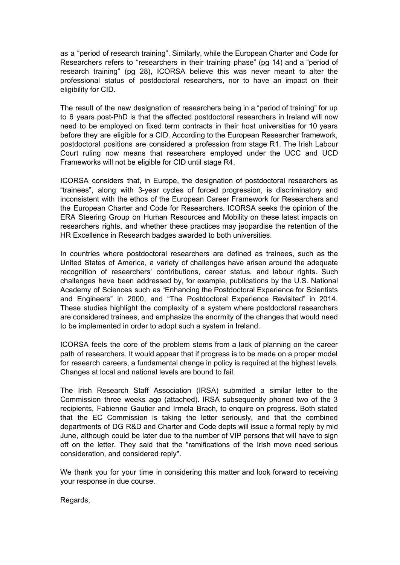as a "period of research training". Similarly, while the European Charter and Code for Researchers refers to "researchers in their training phase" (pg 14) and a "period of research training" (pg 28), ICORSA believe this was never meant to alter the professional status of postdoctoral researchers, nor to have an impact on their eligibility for CID.

The result of the new designation of researchers being in a "period of training" for up to 6 years post-PhD is that the affected postdoctoral researchers in Ireland will now need to be employed on fixed term contracts in their host universities for 10 years before they are eligible for a CID. According to the European Researcher framework, postdoctoral positions are considered a profession from stage R1. The Irish Labour Court ruling now means that researchers employed under the UCC and UCD Frameworks will not be eligible for CID until stage R4.

ICORSA considers that, in Europe, the designation of postdoctoral researchers as "trainees", along with 3year cycles of forced progression, is discriminatory and inconsistent with the ethos of the European Career Framework for Researchers and the European Charter and Code for Researchers. ICORSA seeks the opinion of the ERA Steering Group on Human Resources and Mobility on these latest impacts on researchers rights, and whether these practices may jeopardise the retention of the HR Excellence in Research badges awarded to both universities.

In countries where postdoctoral researchers are defined as trainees, such as the United States of America, a variety of challenges have arisen around the adequate recognition of researchers' contributions, career status, and labour rights. Such challenges have been addressed by, for example, publications by the U.S. National Academy of Sciences such as "Enhancing the Postdoctoral Experience for Scientists and Engineers" in 2000, and "The Postdoctoral Experience Revisited" in 2014. These studies highlight the complexity of a system where postdoctoral researchers are considered trainees, and emphasize the enormity of the changes that would need to be implemented in order to adopt such a system in Ireland.

ICORSA feels the core of the problem stems from a lack of planning on the career path of researchers. It would appear that if progress is to be made on a proper model for research careers, a fundamental change in policy is required at the highest levels. Changes at local and national levels are bound to fail.

The Irish Research Staff Association (IRSA) submitted a similar letter to the Commission three weeks ago (attached). IRSA subsequently phoned two of the 3 recipients, Fabienne Gautier and Irmela Brach, to enquire on progress. Both stated that the EC Commission is taking the letter seriously, and that the combined departments of DG R&D and Charter and Code depts will issue a formal reply by mid June, although could be later due to the number of VIP persons that will have to sign off on the letter. They said that the "ramifications of the Irish move need serious consideration, and considered reply".

We thank you for your time in considering this matter and look forward to receiving your response in due course.

Regards,